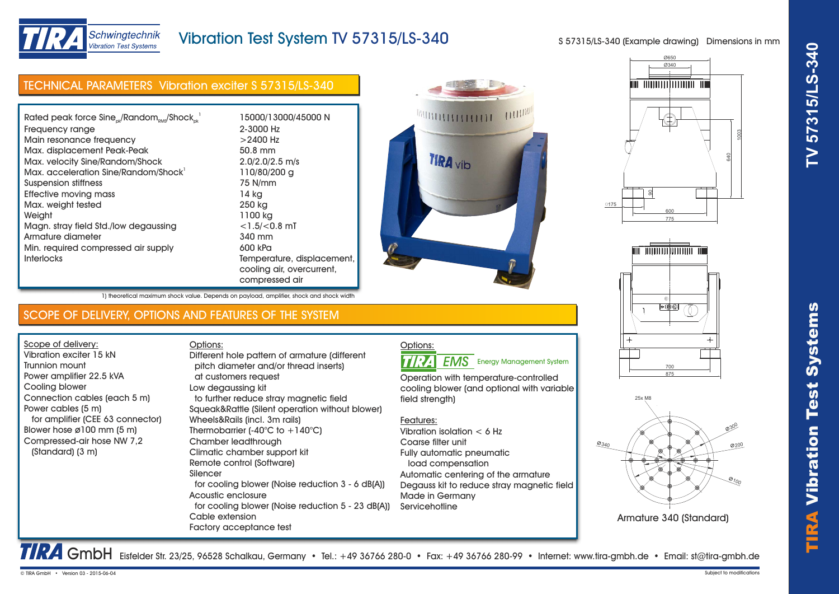TIRA

Vibr



# Vibration Test System TV 57315/LS-340

S 57315/LS-340 (Example drawing) Dimensions in mm

| Rated peak force $Sine_{ok}/Random_{RMS}/Shock_{ok}^{-1}$ | 15000/13000/45000 N        |  |
|-----------------------------------------------------------|----------------------------|--|
| Frequency range                                           | 2-3000 Hz                  |  |
| Main resonance frequency                                  | $>$ 2400 Hz                |  |
| Max. displacement Peak-Peak                               | 50.8 mm                    |  |
| Max. velocity Sine/Random/Shock                           | $2.0/2.0/2.5$ m/s          |  |
| Max. acceleration Sine/Random/Shock                       | 110/80/200 g               |  |
| Suspension stiffness                                      | 75 N/mm                    |  |
| Effective moving mass                                     | 14 kg                      |  |
| Max. weight tested                                        | 250 kg                     |  |
| Weight                                                    | 1100 kg                    |  |
| Magn. stray field Std./low degaussing                     | $<$ 1.5/ $<$ 0.8 mT        |  |
| Armature diameter                                         | 340 mm                     |  |
| Min. required compressed air supply                       | 600 kPa                    |  |
| <b>Interlocks</b>                                         | Temperature, displacement, |  |
|                                                           | cooling air, overcurrent,  |  |
|                                                           | compressed air             |  |









Armature 340 (Standard)

1) theoretical maximum shock value. Depends on payload, amplifier, shock and shock width

## SCOPE OF DELIVERY, OPTIONS AND FEATURES OF THE SYSTEM

Options:

Scope of delivery: Vibration exciter 15 kN Trunnion mount Power amplifier 22.5 kVA Cooling blower Connection cables (each 5 m) Power cables (5 m) for amplifier (CEE 63 connector) Blower hose ø100 mm (5 m) Compressed-air hose NW 7,2 (Standard) (3 m)

 pitch diameter and/or thread inserts) at customers request Low degaussing kit to further reduce stray magnetic field Squeak&Rattle (Silent operation without blower) Wheels&Rails (incl. 3m rails) Thermobarrier  $(-40^{\circ}C)$  to  $+140^{\circ}C$ ) Chamber leadthrough Climatic chamber support kit Remote control (Software) Silencer for cooling blower (Noise reduction 3 - 6 dB(A)) Acoustic enclosure for cooling blower (Noise reduction 5 - 23 dB(A)) Cable extension Factory acceptance test Different hole pattern of armature (different

Options: **TIRA EMS** Energy Management System

Operation with temperature-controlled cooling blower (and optional with variable field strength)

### Features:

Vibration isolation < 6 Hz Coarse filter unit Fully automatic pneumatic load compensation Automatic centering of the armature Degauss kit to reduce stray magnetic field Made in Germany **Servicehotline** 

TRA GmbH Eisfelder Str. 23/25, 96528 Schalkau, Germany • Tel.: +49 36766 280-0 • Fax: +49 36766 280-99 • Internet: www.tira-gmbh.de • Email: st@tira-gmbh.de